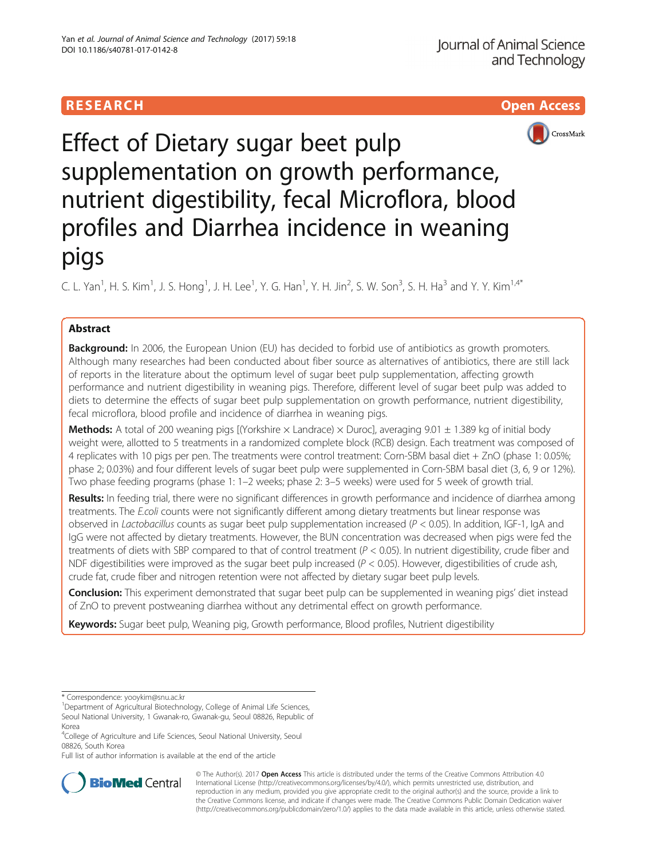

Effect of Dietary sugar beet pulp supplementation on growth performance, nutrient digestibility, fecal Microflora, blood profiles and Diarrhea incidence in weaning pigs

C. L. Yan<sup>1</sup>, H. S. Kim<sup>1</sup>, J. S. Hong<sup>1</sup>, J. H. Lee<sup>1</sup>, Y. G. Han<sup>1</sup>, Y. H. Jin<sup>2</sup>, S. W. Son<sup>3</sup>, S. H. Ha<sup>3</sup> and Y. Y. Kim<sup>1,4\*</sup>

# Abstract

Background: In 2006, the European Union (EU) has decided to forbid use of antibiotics as growth promoters. Although many researches had been conducted about fiber source as alternatives of antibiotics, there are still lack of reports in the literature about the optimum level of sugar beet pulp supplementation, affecting growth performance and nutrient digestibility in weaning pigs. Therefore, different level of sugar beet pulp was added to diets to determine the effects of sugar beet pulp supplementation on growth performance, nutrient digestibility, fecal microflora, blood profile and incidence of diarrhea in weaning pigs.

**Methods:** A total of 200 weaning pigs [(Yorkshire  $\times$  Landrace)  $\times$  Duroc], averaging 9.01  $\pm$  1.389 kg of initial body weight were, allotted to 5 treatments in a randomized complete block (RCB) design. Each treatment was composed of 4 replicates with 10 pigs per pen. The treatments were control treatment: Corn-SBM basal diet + ZnO (phase 1: 0.05%; phase 2; 0.03%) and four different levels of sugar beet pulp were supplemented in Corn-SBM basal diet (3, 6, 9 or 12%). Two phase feeding programs (phase 1: 1–2 weeks; phase 2: 3–5 weeks) were used for 5 week of growth trial.

Results: In feeding trial, there were no significant differences in growth performance and incidence of diarrhea among treatments. The E.coli counts were not significantly different among dietary treatments but linear response was observed in Lactobacillus counts as sugar beet pulp supplementation increased (P < 0.05). In addition, IGF-1, IgA and IgG were not affected by dietary treatments. However, the BUN concentration was decreased when pigs were fed the treatments of diets with SBP compared to that of control treatment ( $P < 0.05$ ). In nutrient digestibility, crude fiber and NDF digestibilities were improved as the sugar beet pulp increased ( $P < 0.05$ ). However, digestibilities of crude ash, crude fat, crude fiber and nitrogen retention were not affected by dietary sugar beet pulp levels.

Conclusion: This experiment demonstrated that sugar beet pulp can be supplemented in weaning pigs' diet instead of ZnO to prevent postweaning diarrhea without any detrimental effect on growth performance.

Keywords: Sugar beet pulp, Weaning pig, Growth performance, Blood profiles, Nutrient digestibility

Full list of author information is available at the end of the article



© The Author(s). 2017 **Open Access** This article is distributed under the terms of the Creative Commons Attribution 4.0 International License [\(http://creativecommons.org/licenses/by/4.0/](http://creativecommons.org/licenses/by/4.0/)), which permits unrestricted use, distribution, and reproduction in any medium, provided you give appropriate credit to the original author(s) and the source, provide a link to the Creative Commons license, and indicate if changes were made. The Creative Commons Public Domain Dedication waiver [\(http://creativecommons.org/publicdomain/zero/1.0/](http://creativecommons.org/publicdomain/zero/1.0/)) applies to the data made available in this article, unless otherwise stated.

<sup>\*</sup> Correspondence: [yooykim@snu.ac.kr](mailto:yooykim@snu.ac.kr) <sup>1</sup>

<sup>&</sup>lt;sup>1</sup>Department of Agricultural Biotechnology, College of Animal Life Sciences,

Seoul National University, 1 Gwanak-ro, Gwanak-gu, Seoul 08826, Republic of Korea

<sup>&</sup>lt;sup>4</sup>College of Agriculture and Life Sciences, Seoul National University, Seoul 08826, South Korea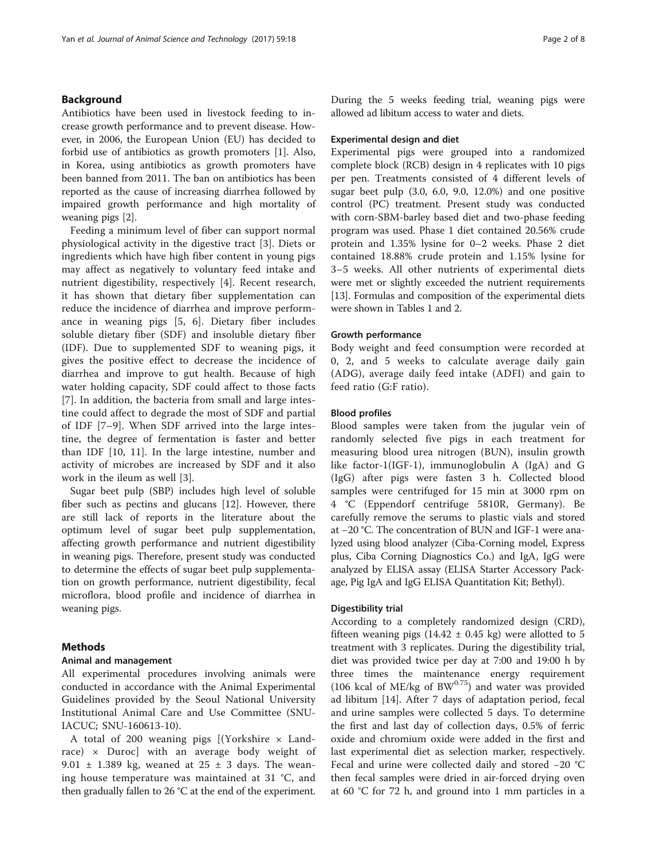## Background

Antibiotics have been used in livestock feeding to increase growth performance and to prevent disease. However, in 2006, the European Union (EU) has decided to forbid use of antibiotics as growth promoters [[1\]](#page-6-0). Also, in Korea, using antibiotics as growth promoters have been banned from 2011. The ban on antibiotics has been reported as the cause of increasing diarrhea followed by impaired growth performance and high mortality of weaning pigs [[2\]](#page-6-0).

Feeding a minimum level of fiber can support normal physiological activity in the digestive tract [\[3](#page-6-0)]. Diets or ingredients which have high fiber content in young pigs may affect as negatively to voluntary feed intake and nutrient digestibility, respectively [[4\]](#page-6-0). Recent research, it has shown that dietary fiber supplementation can reduce the incidence of diarrhea and improve performance in weaning pigs [[5, 6](#page-6-0)]. Dietary fiber includes soluble dietary fiber (SDF) and insoluble dietary fiber (IDF). Due to supplemented SDF to weaning pigs, it gives the positive effect to decrease the incidence of diarrhea and improve to gut health. Because of high water holding capacity, SDF could affect to those facts [[7\]](#page-6-0). In addition, the bacteria from small and large intestine could affect to degrade the most of SDF and partial of IDF [[7](#page-6-0)–[9\]](#page-6-0). When SDF arrived into the large intestine, the degree of fermentation is faster and better than IDF [\[10](#page-6-0), [11](#page-6-0)]. In the large intestine, number and activity of microbes are increased by SDF and it also work in the ileum as well [\[3](#page-6-0)].

Sugar beet pulp (SBP) includes high level of soluble fiber such as pectins and glucans [\[12](#page-6-0)]. However, there are still lack of reports in the literature about the optimum level of sugar beet pulp supplementation, affecting growth performance and nutrient digestibility in weaning pigs. Therefore, present study was conducted to determine the effects of sugar beet pulp supplementation on growth performance, nutrient digestibility, fecal microflora, blood profile and incidence of diarrhea in weaning pigs.

## Methods

#### Animal and management

All experimental procedures involving animals were conducted in accordance with the Animal Experimental Guidelines provided by the Seoul National University Institutional Animal Care and Use Committee (SNU-IACUC; SNU-160613-10).

A total of 200 weaning pigs  $[(Yorkshire \times Land$ race)  $\times$  Duroc] with an average body weight of 9.01  $\pm$  1.389 kg, weaned at 25  $\pm$  3 days. The weaning house temperature was maintained at 31 °C, and then gradually fallen to 26 °C at the end of the experiment. During the 5 weeks feeding trial, weaning pigs were allowed ad libitum access to water and diets.

#### Experimental design and diet

Experimental pigs were grouped into a randomized complete block (RCB) design in 4 replicates with 10 pigs per pen. Treatments consisted of 4 different levels of sugar beet pulp (3.0, 6.0, 9.0, 12.0%) and one positive control (PC) treatment. Present study was conducted with corn-SBM-barley based diet and two-phase feeding program was used. Phase 1 diet contained 20.56% crude protein and 1.35% lysine for 0–2 weeks. Phase 2 diet contained 18.88% crude protein and 1.15% lysine for 3–5 weeks. All other nutrients of experimental diets were met or slightly exceeded the nutrient requirements [[13](#page-6-0)]. Formulas and composition of the experimental diets were shown in Tables [1](#page-2-0) and [2](#page-2-0).

#### Growth performance

Body weight and feed consumption were recorded at 0, 2, and 5 weeks to calculate average daily gain (ADG), average daily feed intake (ADFI) and gain to feed ratio (G:F ratio).

### Blood profiles

Blood samples were taken from the jugular vein of randomly selected five pigs in each treatment for measuring blood urea nitrogen (BUN), insulin growth like factor-1(IGF-1), immunoglobulin A (IgA) and G (IgG) after pigs were fasten 3 h. Collected blood samples were centrifuged for 15 min at 3000 rpm on 4 °C (Eppendorf centrifuge 5810R, Germany). Be carefully remove the serums to plastic vials and stored at −20 °C. The concentration of BUN and IGF-1 were analyzed using blood analyzer (Ciba-Corning model, Express plus, Ciba Corning Diagnostics Co.) and IgA, IgG were analyzed by ELISA assay (ELISA Starter Accessory Package, Pig IgA and IgG ELISA Quantitation Kit; Bethyl).

### Digestibility trial

According to a completely randomized design (CRD), fifteen weaning pigs (14.42  $\pm$  0.45 kg) were allotted to 5 treatment with 3 replicates. During the digestibility trial, diet was provided twice per day at 7:00 and 19:00 h by three times the maintenance energy requirement (106 kcal of ME/kg of  $BW^{0.75}$ ) and water was provided ad libitum [[14](#page-6-0)]. After 7 days of adaptation period, fecal and urine samples were collected 5 days. To determine the first and last day of collection days, 0.5% of ferric oxide and chromium oxide were added in the first and last experimental diet as selection marker, respectively. Fecal and urine were collected daily and stored −20 °C then fecal samples were dried in air-forced drying oven at 60 °C for 72 h, and ground into 1 mm particles in a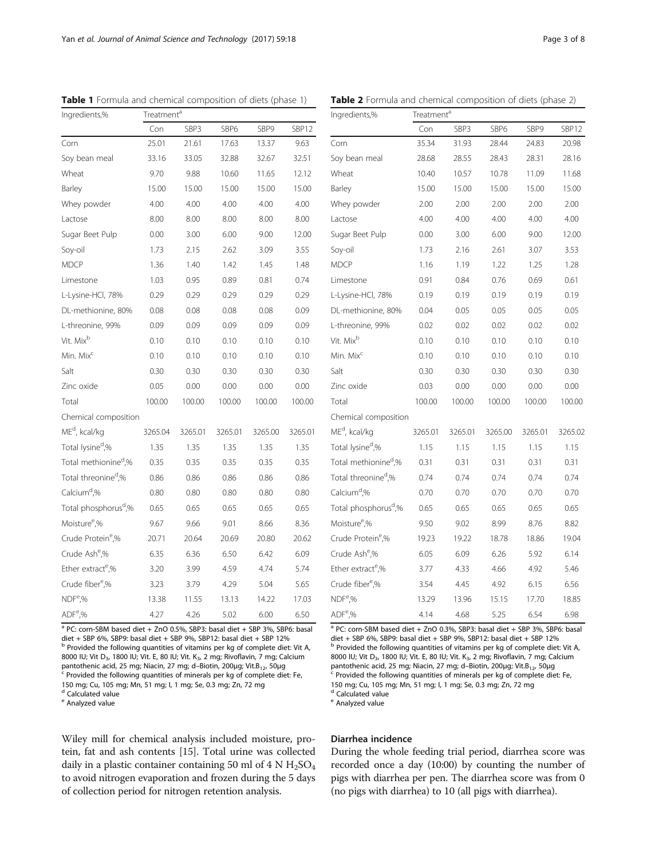| Ingredients,%                    | Treatment <sup>a</sup> |         |         |         |         |
|----------------------------------|------------------------|---------|---------|---------|---------|
|                                  | Con                    | SBP3    | SBP6    | SBP9    | SBP12   |
| Corn                             | 25.01                  | 21.61   | 17.63   | 13.37   | 9.63    |
| Soy bean meal                    | 33.16                  | 33.05   | 32.88   | 32.67   | 32.51   |
| Wheat                            | 9.70                   | 9.88    | 10.60   | 11.65   | 12.12   |
| Barley                           | 15.00                  | 15.00   | 15.00   | 15.00   | 15.00   |
| Whey powder                      | 4.00                   | 4.00    | 4.00    | 4.00    | 4.00    |
| Lactose                          | 8.00                   | 8.00    | 8.00    | 8.00    | 8.00    |
| Sugar Beet Pulp                  | 0.00                   | 3.00    | 6.00    | 9.00    | 12.00   |
| Soy-oil                          | 1.73                   | 2.15    | 2.62    | 3.09    | 3.55    |
| <b>MDCP</b>                      | 1.36                   | 1.40    | 1.42    | 1.45    | 1.48    |
| Limestone                        | 1.03                   | 0.95    | 0.89    | 0.81    | 0.74    |
| L-Lysine-HCl, 78%                | 0.29                   | 0.29    | 0.29    | 0.29    | 0.29    |
| DL-methionine, 80%               | 0.08                   | 0.08    | 0.08    | 0.08    | 0.09    |
| L-threonine, 99%                 | 0.09                   | 0.09    | 0.09    | 0.09    | 0.09    |
| Vit. Mix <sup>b</sup>            | 0.10                   | 0.10    | 0.10    | 0.10    | 0.10    |
| Min. Mix <sup>c</sup>            | 0.10                   | 0.10    | 0.10    | 0.10    | 0.10    |
| Salt                             | 0.30                   | 0.30    | 0.30    | 0.30    | 0.30    |
| Zinc oxide                       | 0.05                   | 0.00    | 0.00    | 0.00    | 0.00    |
| Total                            | 100.00                 | 100.00  | 100.00  | 100.00  | 100.00  |
| Chemical composition             |                        |         |         |         |         |
| ME <sup>d</sup> , kcal/kq        | 3265.04                | 3265.01 | 3265.01 | 3265.00 | 3265.01 |
| Total lysine <sup>d</sup> ,%     | 1.35                   | 1.35    | 1.35    | 1.35    | 1.35    |
| Total methionine <sup>d</sup> ,% | 0.35                   | 0.35    | 0.35    | 0.35    | 0.35    |
| Total threonine <sup>d</sup> ,%  | 0.86                   | 0.86    | 0.86    | 0.86    | 0.86    |
| Calcium <sup>d</sup> ,%          | 0.80                   | 0.80    | 0.80    | 0.80    | 0.80    |
| Total phosphorus <sup>d</sup> ,% | 0.65                   | 0.65    | 0.65    | 0.65    | 0.65    |
| Moisture <sup>e</sup> ,%         | 9.67                   | 9.66    | 9.01    | 8.66    | 8.36    |
| Crude Protein <sup>e</sup> ,%    | 20.71                  | 20.64   | 20.69   | 20.80   | 20.62   |
| Crude Ash <sup>e</sup> ,%        | 6.35                   | 6.36    | 6.50    | 6.42    | 6.09    |
| Ether extract <sup>e</sup> ,%    | 3.20                   | 3.99    | 4.59    | 4.74    | 5.74    |
| Crude fiber <sup>e</sup> ,%      | 3.23                   | 3.79    | 4.29    | 5.04    | 5.65    |
| $NDFe$ ,%                        | 13.38                  | 11.55   | 13.13   | 14.22   | 17.03   |
| ADF <sup>e</sup> ,%              | 4.27                   | 4.26    | 5.02    | 6.00    | 6.50    |

<span id="page-2-0"></span>Table 1 Formula and chemical composition of diets (phase 1)

<sup>a</sup> PC: corn-SBM based diet + ZnO 0.5%, SBP3: basal diet + SBP 3%, SBP6: basal diet + SBP 6%, SBP9: basal diet + SBP 9%, SBP12: basal diet + SBP 12% <sup>b</sup> Provided the following quantities of vitamins per kg of complete diet: Vit A, 8000 IU; Vit D<sub>3</sub>, 1800 IU; Vit. E, 80 IU; Vit. K<sub>3</sub>, 2 mg; Rivoflavin, 7 mg; Calcium pantothenic acid, 25 mg; Niacin, 27 mg; d-Biotin, 200µg; Vit.B<sub>12</sub>, 50µg  $\epsilon$  Provided the following quantities of minerals per kg of complete diet: Fe,

150 mg; Cu, 105 mg; Mn, 51 mg; I, 1 mg; Se, 0.3 mg; Zn, 72 mg

<sup>d</sup> Calculated value

<sup>e</sup> Analyzed value

Wiley mill for chemical analysis included moisture, protein, fat and ash contents [\[15\]](#page-6-0). Total urine was collected daily in a plastic container containing 50 ml of  $4 N H_2SO_4$ to avoid nitrogen evaporation and frozen during the 5 days of collection period for nitrogen retention analysis.

| Ingredients,%                    | Treatment <sup>a</sup> |         |         |         |         |  |  |  |
|----------------------------------|------------------------|---------|---------|---------|---------|--|--|--|
|                                  | Con                    | SBP3    | SBP6    | SBP9    | SBP12   |  |  |  |
| Corn                             | 35.34                  | 31.93   | 28.44   | 24.83   | 20.98   |  |  |  |
| Soy bean meal                    | 28.68                  | 28.55   | 28.43   | 28.31   | 28.16   |  |  |  |
| Wheat                            | 10.40                  | 10.57   | 10.78   | 11.09   | 11.68   |  |  |  |
| Barley                           | 15.00                  | 15.00   | 15.00   | 15.00   | 15.00   |  |  |  |
| Whey powder                      | 2.00                   | 2.00    | 2.00    | 2.00    | 2.00    |  |  |  |
| Lactose                          | 4.00                   | 4.00    | 4.00    | 4.00    | 4.00    |  |  |  |
| Sugar Beet Pulp                  | 0.00                   | 3.00    | 6.00    | 9.00    | 12.00   |  |  |  |
| Soy-oil                          | 1.73                   | 2.16    | 2.61    | 3.07    | 3.53    |  |  |  |
| <b>MDCP</b>                      | 1.16                   | 1.19    | 1.22    | 1.25    | 1.28    |  |  |  |
| Limestone                        | 0.91                   | 0.84    | 0.76    | 0.69    | 0.61    |  |  |  |
| L-Lysine-HCl, 78%                | 0.19                   | 0.19    | 0.19    | 0.19    | 0.19    |  |  |  |
| DL-methionine, 80%               | 0.04                   | 0.05    | 0.05    | 0.05    | 0.05    |  |  |  |
| L-threonine, 99%                 | 0.02                   | 0.02    | 0.02    | 0.02    | 0.02    |  |  |  |
| Vit. Mix <sup>b</sup>            | 0.10                   | 0.10    | 0.10    | 0.10    | 0.10    |  |  |  |
| Min. Mix <sup>c</sup>            | 0.10                   | 0.10    | 0.10    | 0.10    | 0.10    |  |  |  |
| Salt                             | 0.30                   | 0.30    | 0.30    | 0.30    | 0.30    |  |  |  |
| Zinc oxide                       | 0.03                   | 0.00    | 0.00    | 0.00    | 0.00    |  |  |  |
| Total                            | 100.00                 | 100.00  | 100.00  | 100.00  | 100.00  |  |  |  |
| Chemical composition             |                        |         |         |         |         |  |  |  |
| ME <sup>d</sup> , kcal/kg        | 3265.01                | 3265.01 | 3265.00 | 3265.01 | 3265.02 |  |  |  |
| Total lysine <sup>d</sup> ,%     | 1.15                   | 1.15    | 1.15    | 1.15    | 1.15    |  |  |  |
| Total methionine <sup>d</sup> ,% | 0.31                   | 0.31    | 0.31    | 0.31    | 0.31    |  |  |  |
| Total threonine <sup>d</sup> ,%  | 0.74                   | 0.74    | 0.74    | 0.74    | 0.74    |  |  |  |
| Calcium <sup>d</sup> ,%          | 0.70                   | 0.70    | 0.70    | 0.70    | 0.70    |  |  |  |
| Total phosphorus <sup>d</sup> ,% | 0.65                   | 0.65    | 0.65    | 0.65    | 0.65    |  |  |  |
| Moisture <sup>e</sup> ,%         | 9.50                   | 9.02    | 8.99    | 8.76    | 8.82    |  |  |  |
| Crude Protein <sup>e</sup> ,%    | 19.23                  | 19.22   | 18.78   | 18.86   | 19.04   |  |  |  |
| Crude Ash <sup>e</sup> ,%        | 6.05                   | 6.09    | 6.26    | 5.92    | 6.14    |  |  |  |
| Ether extract <sup>e</sup> ,%    | 3.77                   | 4.33    | 4.66    | 4.92    | 5.46    |  |  |  |
| Crude fiber <sup>e</sup> ,%      | 3.54                   | 4.45    | 4.92    | 6.15    | 6.56    |  |  |  |
| NDF <sup>e</sup> ,%              | 13.29                  | 13.96   | 15.15   | 17.70   | 18.85   |  |  |  |
| ADF <sup>e</sup> ,%              | 4.14                   | 4.68    | 5.25    | 6.54    | 6.98    |  |  |  |

Table 2 Formula and chemical composition of diets (phase 2)

 $a$  PC: corn-SBM based diet + ZnO 0.3%, SBP3: basal diet + SBP 3%, SBP6: basal diet + SBP 6%, SBP9: basal diet + SBP 9%, SBP12: basal diet + SBP 12% b Provided the following quantities of vitamins per kg of complete diet: Vit A, 8000 IU; Vit D<sub>3</sub>, 1800 IU; Vit. E, 80 IU; Vit. K<sub>3</sub>, 2 mg; Rivoflavin, 7 mg; Calcium pantothenic acid, 25 mg; Niacin, 27 mg; d-Biotin, 200µg; Vit.B<sub>12</sub>, 50µg  $\frac{1}{2}$  Provided the following quantities of minerals per kg of complete diet: Fe,

150 mg; Cu, 105 mg; Mn, 51 mg; I, 1 mg; Se, 0.3 mg; Zn, 72 mg

<sup>d</sup> Calculated value

## <sup>e</sup> Analyzed value

### Diarrhea incidence

During the whole feeding trial period, diarrhea score was recorded once a day (10:00) by counting the number of pigs with diarrhea per pen. The diarrhea score was from 0 (no pigs with diarrhea) to 10 (all pigs with diarrhea).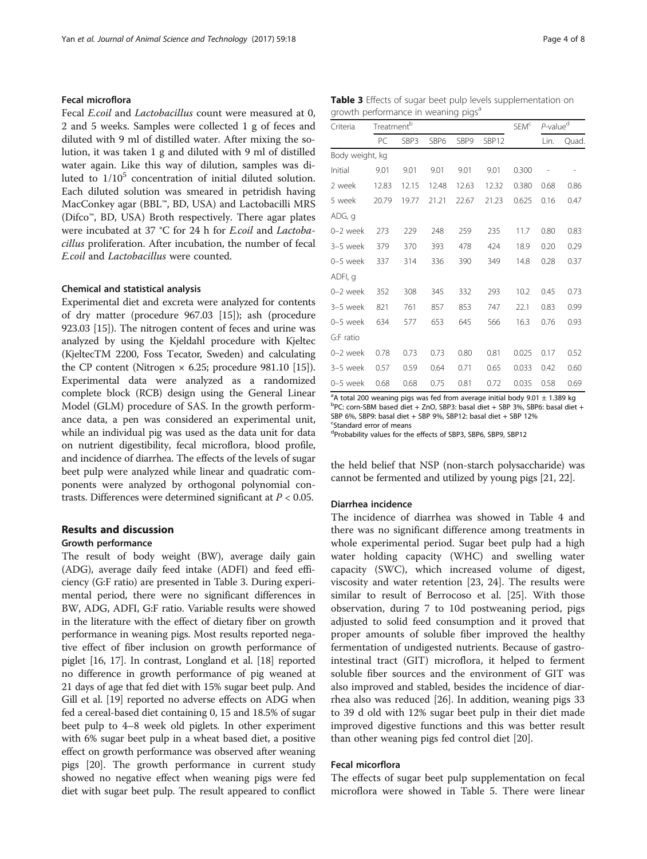## Fecal microflora

Fecal E.coil and Lactobacillus count were measured at 0, 2 and 5 weeks. Samples were collected 1 g of feces and diluted with 9 ml of distilled water. After mixing the solution, it was taken 1 g and diluted with 9 ml of distilled water again. Like this way of dilution, samples was diluted to  $1/10^5$  concentration of initial diluted solution. Each diluted solution was smeared in petridish having MacConkey agar (BBL™, BD, USA) and Lactobacilli MRS (Difco™, BD, USA) Broth respectively. There agar plates were incubated at 37 °C for 24 h for E.coil and Lactobacillus proliferation. After incubation, the number of fecal E.coil and Lactobacillus were counted.

## Chemical and statistical analysis

Experimental diet and excreta were analyzed for contents of dry matter (procedure 967.03 [[15](#page-6-0)]); ash (procedure 923.03 [\[15\]](#page-6-0)). The nitrogen content of feces and urine was analyzed by using the Kjeldahl procedure with Kjeltec (KjeltecTM 2200, Foss Tecator, Sweden) and calculating the CP content (Nitrogen  $\times$  6.25; procedure 981.10 [[15](#page-6-0)]). Experimental data were analyzed as a randomized complete block (RCB) design using the General Linear Model (GLM) procedure of SAS. In the growth performance data, a pen was considered an experimental unit, while an individual pig was used as the data unit for data on nutrient digestibility, fecal microflora, blood profile, and incidence of diarrhea. The effects of the levels of sugar beet pulp were analyzed while linear and quadratic components were analyzed by orthogonal polynomial contrasts. Differences were determined significant at  $P < 0.05$ .

## Results and discussion

#### Growth performance

The result of body weight (BW), average daily gain (ADG), average daily feed intake (ADFI) and feed efficiency (G:F ratio) are presented in Table 3. During experimental period, there were no significant differences in BW, ADG, ADFI, G:F ratio. Variable results were showed in the literature with the effect of dietary fiber on growth performance in weaning pigs. Most results reported negative effect of fiber inclusion on growth performance of piglet [[16](#page-6-0), [17\]](#page-6-0). In contrast, Longland et al. [[18](#page-6-0)] reported no difference in growth performance of pig weaned at 21 days of age that fed diet with 15% sugar beet pulp. And Gill et al. [[19](#page-6-0)] reported no adverse effects on ADG when fed a cereal-based diet containing 0, 15 and 18.5% of sugar beet pulp to 4–8 week old piglets. In other experiment with 6% sugar beet pulp in a wheat based diet, a positive effect on growth performance was observed after weaning pigs [\[20\]](#page-7-0). The growth performance in current study showed no negative effect when weaning pigs were fed diet with sugar beet pulp. The result appeared to conflict

Table 3 Effects of sugar beet pulp levels supplementation on growth performance in weaning pigs<sup>a</sup>

| Criteria        | Treatment <sup>b</sup> | <b>SEM<sup>c</sup></b> | $P$ -value <sup>d</sup> |       |       |       |      |       |
|-----------------|------------------------|------------------------|-------------------------|-------|-------|-------|------|-------|
|                 | PC                     | SBP3                   | SBP <sub>6</sub>        | SBP9  | SBP12 |       | Lin. | Quad. |
| Body weight, kg |                        |                        |                         |       |       |       |      |       |
| Initial         | 9.01                   | 9.01                   | 9.01                    | 9.01  | 9.01  | 0.300 |      |       |
| 2 week          | 12.83                  | 12.15                  | 12.48                   | 12.63 | 12.32 | 0.380 | 0.68 | 0.86  |
| 5 week          | 20.79                  | 19.77                  | 21.21                   | 22.67 | 21.23 | 0.625 | 0.16 | 0.47  |
| ADG, g          |                        |                        |                         |       |       |       |      |       |
| 0-2 week        | 273                    | 229                    | 248                     | 259   | 235   | 11.7  | 0.80 | 0.83  |
| 3-5 week        | 379                    | 370                    | 393                     | 478   | 424   | 18.9  | 0.20 | 0.29  |
| 0-5 week        | 337                    | 314                    | 336                     | 390   | 349   | 14.8  | 0.28 | 0.37  |
| ADFI, g         |                        |                        |                         |       |       |       |      |       |
| 0-2 week        | 352                    | 308                    | 345                     | 332   | 293   | 10.2  | 0.45 | 0.73  |
| 3-5 week        | 821                    | 761                    | 857                     | 853   | 747   | 22.1  | 0.83 | 0.99  |
| 0-5 week        | 634                    | 577                    | 653                     | 645   | 566   | 16.3  | 0.76 | 0.93  |
| G:F ratio       |                        |                        |                         |       |       |       |      |       |
| 0-2 week        | 0.78                   | 0.73                   | 0.73                    | 0.80  | 0.81  | 0.025 | 0.17 | 0.52  |
| 3-5 week        | 0.57                   | 0.59                   | 0.64                    | 0.71  | 0.65  | 0.033 | 0.42 | 0.60  |
| 0-5 week        | 0.68                   | 0.68                   | 0.75                    | 0.81  | 0.72  | 0.035 | 0.58 | 0.69  |

<sup>a</sup>A total 200 weaning pigs was fed from average initial body 9.01  $\pm$  1.389 kg b PC: corn-SBM based diet + ZnO, SBP3: basal diet + SBP 3%, SBP6: basal diet + SBP 6%, SBP9: basal diet + SBP 9%, SBP12: basal diet + SBP 12% <sup>c</sup>Standard error of means

d Probability values for the effects of SBP3, SBP6, SBP9, SBP12

the held belief that NSP (non-starch polysaccharide) was cannot be fermented and utilized by young pigs [\[21, 22](#page-7-0)].

### Diarrhea incidence

The incidence of diarrhea was showed in Table [4](#page-4-0) and there was no significant difference among treatments in whole experimental period. Sugar beet pulp had a high water holding capacity (WHC) and swelling water capacity (SWC), which increased volume of digest, viscosity and water retention [\[23, 24\]](#page-7-0). The results were similar to result of Berrocoso et al. [[25\]](#page-7-0). With those observation, during 7 to 10d postweaning period, pigs adjusted to solid feed consumption and it proved that proper amounts of soluble fiber improved the healthy fermentation of undigested nutrients. Because of gastrointestinal tract (GIT) microflora, it helped to ferment soluble fiber sources and the environment of GIT was also improved and stabled, besides the incidence of diarrhea also was reduced [[26](#page-7-0)]. In addition, weaning pigs 33 to 39 d old with 12% sugar beet pulp in their diet made improved digestive functions and this was better result than other weaning pigs fed control diet [[20\]](#page-7-0).

### Fecal micorflora

The effects of sugar beet pulp supplementation on fecal microflora were showed in Table [5.](#page-4-0) There were linear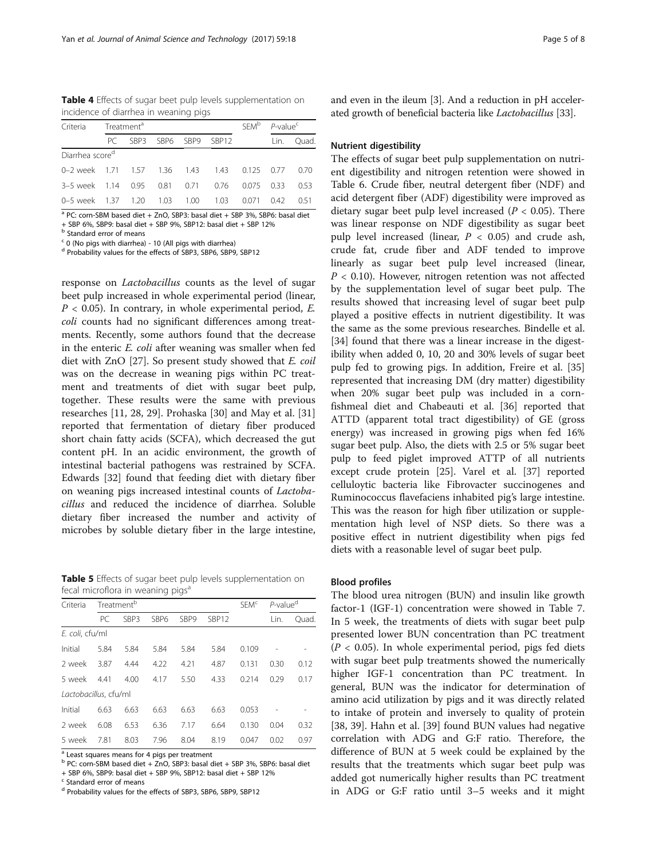<span id="page-4-0"></span>Table 4 Effects of sugar beet pulp levels supplementation on incidence of diarrhea in weaning pigs

| Criteria                                          | Treatment <sup>a</sup> |  |  |                         |  | $SFM^b$ $P-value^c$ |            |
|---------------------------------------------------|------------------------|--|--|-------------------------|--|---------------------|------------|
|                                                   |                        |  |  | PC SBP3 SBP6 SBP9 SBP12 |  |                     | Lin. Ouad. |
| Diarrhea score <sup>d</sup>                       |                        |  |  |                         |  |                     |            |
| 0-2 week 1.71 1.57 1.36 1.43 1.43 0.125 0.77 0.70 |                        |  |  |                         |  |                     |            |
| 3-5 week 1.14 0.95 0.81 0.71 0.76 0.075 0.33      |                        |  |  |                         |  |                     | 0.53       |
| 0-5 week 1.37 1.20 1.03 1.00 1.03 0.071           |                        |  |  |                         |  | 042                 | 051        |

 $a$  PC: corn-SBM based diet + ZnO, SBP3: basal diet + SBP 3%, SBP6: basal diet + SBP 6%, SBP9: basal diet + SBP 9%, SBP12: basal diet + SBP 12% <sup>b</sup> Standard error of means

 $c$  0 (No pigs with diarrhea) - 10 (All pigs with diarrhea)

<sup>d</sup> Probability values for the effects of SBP3, SBP6, SBP9, SBP12

response on Lactobacillus counts as the level of sugar beet pulp increased in whole experimental period (linear,  $P < 0.05$ ). In contrary, in whole experimental period, E. coli counts had no significant differences among treatments. Recently, some authors found that the decrease in the enteric E. coli after weaning was smaller when fed diet with ZnO [\[27\]](#page-7-0). So present study showed that E. coil was on the decrease in weaning pigs within PC treatment and treatments of diet with sugar beet pulp, together. These results were the same with previous researches [\[11,](#page-6-0) [28, 29\]](#page-7-0). Prohaska [[30](#page-7-0)] and May et al. [[31](#page-7-0)] reported that fermentation of dietary fiber produced short chain fatty acids (SCFA), which decreased the gut content pH. In an acidic environment, the growth of intestinal bacterial pathogens was restrained by SCFA. Edwards [[32\]](#page-7-0) found that feeding diet with dietary fiber on weaning pigs increased intestinal counts of Lactobacillus and reduced the incidence of diarrhea. Soluble dietary fiber increased the number and activity of microbes by soluble dietary fiber in the large intestine,

Table 5 Effects of sugar beet pulp levels supplementation on fecal microflora in weaning pigs<sup>a</sup>

| Treatment <sup>b</sup><br>Criteria |      |                  |                  |      |       | <b>SFM<sup>c</sup></b> |      | $P$ -value <sup>d</sup> |  |  |
|------------------------------------|------|------------------|------------------|------|-------|------------------------|------|-------------------------|--|--|
|                                    | PC.  | SBP <sub>3</sub> | SBP <sub>6</sub> | SBP9 | SBP12 |                        | Lin. | Ouad.                   |  |  |
| E. coli, cfu/ml                    |      |                  |                  |      |       |                        |      |                         |  |  |
| Initial                            | 5.84 | 5.84             | 5.84             | 5.84 | 5.84  | 0.109                  |      |                         |  |  |
| 2 week                             | 3.87 | 4.44             | 4.22             | 4.21 | 4.87  | 0.131                  | 0.30 | 0.12                    |  |  |
| 5 week                             | 4.41 | 4.00             | 4.17             | 5.50 | 4.33  | 0.214                  | 0.29 | 0.17                    |  |  |
| Lactobacillus, cfu/ml              |      |                  |                  |      |       |                        |      |                         |  |  |
| Initial                            | 6.63 | 6.63             | 6.63             | 6.63 | 6.63  | 0.053                  |      |                         |  |  |
| 2 week                             | 6.08 | 6.53             | 6.36             | 7.17 | 6.64  | 0.130                  | 0.04 | 0.32                    |  |  |
| 5 week                             | 7.81 | 8.03             | 7.96             | 8.04 | 8.19  | 0.047                  | 0.02 | 0.97                    |  |  |

<sup>a</sup> Least squares means for 4 pigs per treatment

<sup>b</sup> PC: corn-SBM based diet + ZnO, SBP3: basal diet + SBP 3%, SBP6: basal diet

+ SBP 6%, SBP9: basal diet + SBP 9%, SBP12: basal diet + SBP 12%

<sup>c</sup> Standard error of means

<sup>d</sup> Probability values for the effects of SBP3, SBP6, SBP9, SBP12

and even in the ileum [\[3\]](#page-6-0). And a reduction in pH accelerated growth of beneficial bacteria like Lactobacillus [\[33\]](#page-7-0).

#### Nutrient digestibility

The effects of sugar beet pulp supplementation on nutrient digestibility and nitrogen retention were showed in Table [6.](#page-5-0) Crude fiber, neutral detergent fiber (NDF) and acid detergent fiber (ADF) digestibility were improved as dietary sugar beet pulp level increased ( $P < 0.05$ ). There was linear response on NDF digestibility as sugar beet pulp level increased (linear,  $P < 0.05$ ) and crude ash, crude fat, crude fiber and ADF tended to improve linearly as sugar beet pulp level increased (linear,  $P < 0.10$ ). However, nitrogen retention was not affected by the supplementation level of sugar beet pulp. The results showed that increasing level of sugar beet pulp played a positive effects in nutrient digestibility. It was the same as the some previous researches. Bindelle et al. [[34\]](#page-7-0) found that there was a linear increase in the digestibility when added 0, 10, 20 and 30% levels of sugar beet pulp fed to growing pigs. In addition, Freire et al. [[35](#page-7-0)] represented that increasing DM (dry matter) digestibility when 20% sugar beet pulp was included in a cornfishmeal diet and Chabeauti et al. [[36](#page-7-0)] reported that ATTD (apparent total tract digestibility) of GE (gross energy) was increased in growing pigs when fed 16% sugar beet pulp. Also, the diets with 2.5 or 5% sugar beet pulp to feed piglet improved ATTP of all nutrients except crude protein [[25](#page-7-0)]. Varel et al. [[37\]](#page-7-0) reported celluloytic bacteria like Fibrovacter succinogenes and Ruminococcus flavefaciens inhabited pig's large intestine. This was the reason for high fiber utilization or supplementation high level of NSP diets. So there was a positive effect in nutrient digestibility when pigs fed diets with a reasonable level of sugar beet pulp.

### Blood profiles

The blood urea nitrogen (BUN) and insulin like growth factor-1 (IGF-1) concentration were showed in Table [7](#page-5-0). In 5 week, the treatments of diets with sugar beet pulp presented lower BUN concentration than PC treatment  $(P < 0.05)$ . In whole experimental period, pigs fed diets with sugar beet pulp treatments showed the numerically higher IGF-1 concentration than PC treatment. In general, BUN was the indicator for determination of amino acid utilization by pigs and it was directly related to intake of protein and inversely to quality of protein [[38, 39\]](#page-7-0). Hahn et al. [[39](#page-7-0)] found BUN values had negative correlation with ADG and G:F ratio. Therefore, the difference of BUN at 5 week could be explained by the results that the treatments which sugar beet pulp was added got numerically higher results than PC treatment in ADG or G:F ratio until 3–5 weeks and it might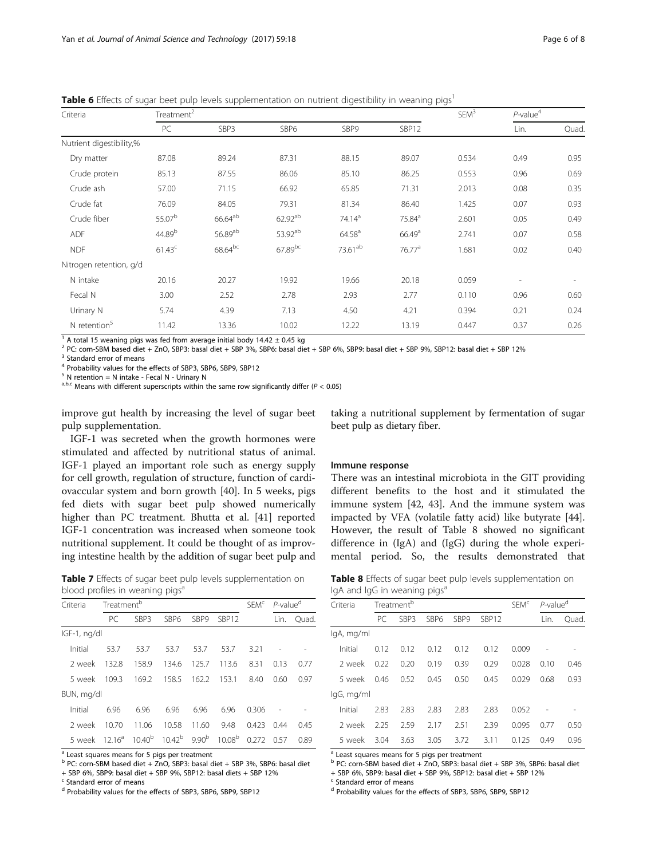<span id="page-5-0"></span>Table 6 Effects of sugar beet pulp levels supplementation on nutrient digestibility in weaning pigs<sup>1</sup>

| Criteria                 |                    | Treatment <sup>2</sup> |                     |                     |                    | SEM <sup>3</sup> | $P$ -value <sup>4</sup> |      |
|--------------------------|--------------------|------------------------|---------------------|---------------------|--------------------|------------------|-------------------------|------|
|                          | PC                 | SBP3                   | SBP6                | SBP9                | SBP12              |                  | Lin.                    | Quad |
| Nutrient digestibility,% |                    |                        |                     |                     |                    |                  |                         |      |
| Dry matter               | 87.08              | 89.24                  | 87.31               | 88.15               | 89.07              | 0.534            | 0.49                    | 0.95 |
| Crude protein            | 85.13              | 87.55                  | 86.06               | 85.10               | 86.25              | 0.553            | 0.96                    | 0.69 |
| Crude ash                | 57.00              | 71.15                  | 66.92               | 65.85               | 71.31              | 2.013            | 0.08                    | 0.35 |
| Crude fat                | 76.09              | 84.05                  | 79.31               | 81.34               | 86.40              | 1.425            | 0.07                    | 0.93 |
| Crude fiber              | 55.07 <sup>b</sup> | 66.64ab                | 62.92 <sup>ab</sup> | 74.14 <sup>a</sup>  | 75.84 <sup>a</sup> | 2.601            | 0.05                    | 0.49 |
| <b>ADF</b>               | 44.89 <sup>b</sup> | 56.89 <sup>ab</sup>    | 53.92 <sup>ab</sup> | $64.58^{a}$         | 66.49 <sup>a</sup> | 2.741            | 0.07                    | 0.58 |
| <b>NDF</b>               | 61.43 <sup>c</sup> | 68.64bc                | 67.89bc             | 73.61 <sup>ab</sup> | 76.77 <sup>a</sup> | 1.681            | 0.02                    | 0.40 |
| Nitrogen retention, g/d  |                    |                        |                     |                     |                    |                  |                         |      |
| N intake                 | 20.16              | 20.27                  | 19.92               | 19.66               | 20.18              | 0.059            |                         |      |
| Fecal N                  | 3.00               | 2.52                   | 2.78                | 2.93                | 2.77               | 0.110            | 0.96                    | 0.60 |
| Urinary N                | 5.74               | 4.39                   | 7.13                | 4.50                | 4.21               | 0.394            | 0.21                    | 0.24 |
| N retention <sup>5</sup> | 11.42              | 13.36                  | 10.02               | 12.22               | 13.19              | 0.447            | 0.37                    | 0.26 |

 $1$  A total 15 weaning pigs was fed from average initial body 14.42  $\pm$  0.45 kg

<sup>2</sup> PC: corn-SBM based diet + ZnO, SBP3: basal diet + SBP 3%, SBP6: basal diet + SBP 6%, SBP9: basal diet + SBP 9%, SBP12: basal diet + SBP 12%

<sup>3</sup> Standard error of means

<sup>4</sup> Probability values for the effects of SBP3, SBP6, SBP9, SBP12

 $5$  N retention = N intake - Fecal N - Urinary N

a,b,c Means with different superscripts within the same row significantly differ ( $P < 0.05$ )

improve gut health by increasing the level of sugar beet pulp supplementation.

IGF-1 was secreted when the growth hormones were stimulated and affected by nutritional status of animal. IGF-1 played an important role such as energy supply for cell growth, regulation of structure, function of cardiovaccular system and born growth [[40\]](#page-7-0). In 5 weeks, pigs fed diets with sugar beet pulp showed numerically higher than PC treatment. Bhutta et al. [[41](#page-7-0)] reported IGF-1 concentration was increased when someone took nutritional supplement. It could be thought of as improving intestine health by the addition of sugar beet pulp and

Table 7 Effects of sugar beet pulp levels supplementation on blood profiles in weaning pigs<sup>a</sup>

| Criteria     |          | Treatment <sup>b</sup> |                                                                |       |                   |       |      | $P$ -value <sup>d</sup> |
|--------------|----------|------------------------|----------------------------------------------------------------|-------|-------------------|-------|------|-------------------------|
|              | PC.      | SBP3                   | SBP <sub>6</sub>                                               | SBP9  | SBP <sub>12</sub> |       | Lin. | Ouad.                   |
| IGF-1, ng/dl |          |                        |                                                                |       |                   |       |      |                         |
| Initial      | 53.7     | 53.7                   | 53.7                                                           | 53.7  | 53.7              | 3.21  |      |                         |
| 2 week       | 132.8    | 158.9                  | 134.6                                                          | 125.7 | 113.6             | 8.31  | 0.13 | 0.77                    |
| 5 week       | 109.3    | 169.2                  | 158.5                                                          | 162.2 | 153.1             | 8.40  | 0.60 | 0.97                    |
| BUN, mg/dl   |          |                        |                                                                |       |                   |       |      |                         |
| Initial      | 6.96     | 6.96                   | 6.96                                                           | 6.96  | 6.96              | 0.306 |      |                         |
| 2 week       | 10.70    | 11.06                  | 10.58                                                          | 11.60 | 9.48              | 0.423 | 0.44 | 0.45                    |
| 5 week       | $1216^a$ |                        | $10.40^{\rm b}$ $10.42^{\rm b}$ $9.90^{\rm b}$ $10.08^{\rm b}$ |       |                   | 0.272 | 0.57 | 0.89                    |

<sup>a</sup> Least squares means for 5 pigs per treatment

<sup>b</sup> PC: corn-SBM based diet + ZnO, SBP3: basal diet + SBP 3%, SBP6: basal diet

+ SBP 6%, SBP9: basal diet + SBP 9%, SBP12: basal diets + SBP 12%

<sup>c</sup> Standard error of means

<sup>d</sup> Probability values for the effects of SBP3, SBP6, SBP9, SBP12

taking a nutritional supplement by fermentation of sugar beet pulp as dietary fiber.

### Immune response

There was an intestinal microbiota in the GIT providing different benefits to the host and it stimulated the immune system [\[42](#page-7-0), [43](#page-7-0)]. And the immune system was impacted by VFA (volatile fatty acid) like butyrate [\[44](#page-7-0)]. However, the result of Table 8 showed no significant difference in (IgA) and (IgG) during the whole experimental period. So, the results demonstrated that

Table 8 Effects of sugar beet pulp levels supplementation on  $I$ ga and  $I$ g $G$  in weaning pigs<sup>a</sup>

| Criteria   |      | Treatment <sup>b</sup> |                  | <b>SEM<sup>c</sup></b> | $P$ -value <sup>d</sup> |       |      |      |
|------------|------|------------------------|------------------|------------------------|-------------------------|-------|------|------|
|            | PC.  | SBP3                   | SBP <sub>6</sub> | SBP9                   | SBP <sub>12</sub>       |       | Lin. | Ouad |
| lgA, mg/ml |      |                        |                  |                        |                         |       |      |      |
| Initial    | 0.12 | 0.12                   | 0.12             | 0.12                   | 0.12                    | 0.009 |      |      |
| 2 week     | 0.22 | 0.20                   | 0.19             | 0.39                   | 0.29                    | 0.028 | 0.10 | 0.46 |
| 5 week     | 0.46 | 0.52                   | 0.45             | 0.50                   | 0.45                    | 0.029 | 0.68 | 0.93 |
| lgG, mg/ml |      |                        |                  |                        |                         |       |      |      |
| Initial    | 2.83 | 2.83                   | 2.83             | 2.83                   | 2.83                    | 0.052 |      |      |
| 2 week     | 2.25 | 2.59                   | 2.17             | 2.51                   | 2.39                    | 0.095 | 0.77 | 0.50 |
| 5 week     | 3.04 | 3.63                   | 3.05             | 3.72                   | 3.11                    | 0.125 | 0.49 | 0.96 |

<sup>a</sup> Least squares means for 5 pigs per treatment

<sup>b</sup> PC: corn-SBM based diet + ZnO, SBP3: basal diet + SBP 3%, SBP6: basal diet

+ SBP 6%, SBP9: basal diet + SBP 9%, SBP12: basal diet + SBP 12%

<sup>c</sup> Standard error of means

<sup>d</sup> Probability values for the effects of SBP3, SBP6, SBP9, SBP12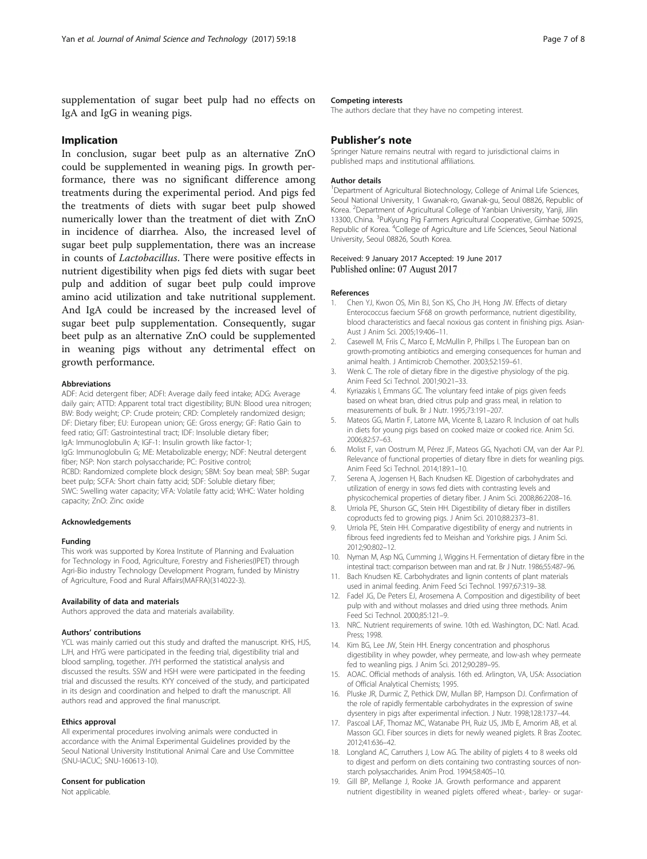<span id="page-6-0"></span>supplementation of sugar beet pulp had no effects on IgA and IgG in weaning pigs.

## Implication

In conclusion, sugar beet pulp as an alternative ZnO could be supplemented in weaning pigs. In growth performance, there was no significant difference among treatments during the experimental period. And pigs fed the treatments of diets with sugar beet pulp showed numerically lower than the treatment of diet with ZnO in incidence of diarrhea. Also, the increased level of sugar beet pulp supplementation, there was an increase in counts of Lactobacillus. There were positive effects in nutrient digestibility when pigs fed diets with sugar beet pulp and addition of sugar beet pulp could improve amino acid utilization and take nutritional supplement. And IgA could be increased by the increased level of sugar beet pulp supplementation. Consequently, sugar beet pulp as an alternative ZnO could be supplemented in weaning pigs without any detrimental effect on growth performance.

#### Abbreviations

ADF: Acid detergent fiber; ADFI: Average daily feed intake; ADG: Average daily gain; ATTD: Apparent total tract digestibility; BUN: Blood urea nitrogen; BW: Body weight; CP: Crude protein; CRD: Completely randomized design; DF: Dietary fiber; EU: European union; GE: Gross energy; GF: Ratio Gain to feed ratio; GIT: Gastrointestinal tract; IDF: Insoluble dietary fiber; IgA: Immunoglobulin A; IGF-1: Insulin growth like factor-1; IgG: Immunoglobulin G; ME: Metabolizable energy; NDF: Neutral detergent fiber; NSP: Non starch polysaccharide; PC: Positive control; RCBD: Randomized complete block design; SBM: Soy bean meal; SBP: Sugar beet pulp; SCFA: Short chain fatty acid; SDF: Soluble dietary fiber; SWC: Swelling water capacity; VFA: Volatile fatty acid; WHC: Water holding capacity; ZnO: Zinc oxide

#### Acknowledgements

#### Funding

This work was supported by Korea Institute of Planning and Evaluation for Technology in Food, Agriculture, Forestry and Fisheries(IPET) through Agri-Bio industry Technology Development Program, funded by Ministry of Agriculture, Food and Rural Affairs(MAFRA)(314022-3).

#### Availability of data and materials

Authors approved the data and materials availability.

### Authors' contributions

YCL was mainly carried out this study and drafted the manuscript. KHS, HJS, LJH, and HYG were participated in the feeding trial, digestibility trial and blood sampling, together. JYH performed the statistical analysis and discussed the results. SSW and HSH were were participated in the feeding trial and discussed the results. KYY conceived of the study, and participated in its design and coordination and helped to draft the manuscript. All authors read and approved the final manuscript.

#### Ethics approval

All experimental procedures involving animals were conducted in accordance with the Animal Experimental Guidelines provided by the Seoul National University Institutional Animal Care and Use Committee (SNU-IACUC; SNU-160613-10).

### Consent for publication

Not applicable.

#### Competing interests

The authors declare that they have no competing interest.

## Publisher's note

Springer Nature remains neutral with regard to jurisdictional claims in published maps and institutional affiliations.

#### Author details

<sup>1</sup>Department of Agricultural Biotechnology, College of Animal Life Sciences, Seoul National University, 1 Gwanak-ro, Gwanak-gu, Seoul 08826, Republic of Korea. <sup>2</sup> Department of Agricultural College of Yanbian University, Yanji, Jilin 13300, China. <sup>3</sup> PuKyung Pig Farmers Agricultural Cooperative, Gimhae 50925, Republic of Korea. <sup>4</sup>College of Agriculture and Life Sciences, Seoul National University, Seoul 08826, South Korea.

### Received: 9 January 2017 Accepted: 19 June 2017 Published online: 07 August 2017

#### References

- 1. Chen YJ, Kwon OS, Min BJ, Son KS, Cho JH, Hong JW. Effects of dietary Enterococcus faecium SF68 on growth performance, nutrient digestibility, blood characteristics and faecal noxious gas content in finishing pigs. Asian-Aust J Anim Sci. 2005;19:406–11.
- 2. Casewell M, Friis C, Marco E, McMullin P, Phillps I. The European ban on growth-promoting antibiotics and emerging consequences for human and animal health. J Antimicrob Chemother. 2003;52:159–61.
- 3. Wenk C. The role of dietary fibre in the digestive physiology of the pig. Anim Feed Sci Technol. 2001;90:21–33.
- 4. Kyriazakis I, Emmans GC. The voluntary feed intake of pigs given feeds based on wheat bran, dried citrus pulp and grass meal, in relation to measurements of bulk. Br J Nutr. 1995;73:191–207.
- 5. Mateos GG, Martin F, Latorre MA, Vicente B, Lazaro R. Inclusion of oat hulls in diets for young pigs based on cooked maize or cooked rice. Anim Sci. 2006;82:57–63.
- 6. Molist F, van Oostrum M, Pérez JF, Mateos GG, Nyachoti CM, van der Aar PJ. Relevance of functional properties of dietary fibre in diets for weanling pigs. Anim Feed Sci Technol. 2014;189:1–10.
- 7. Serena A, Jogensen H, Bach Knudsen KE. Digestion of carbohydrates and utilization of energy in sows fed diets with contrasting levels and physicochemical properties of dietary fiber. J Anim Sci. 2008;86:2208–16.
- 8. Urriola PE, Shurson GC, Stein HH. Digestibility of dietary fiber in distillers coproducts fed to growing pigs. J Anim Sci. 2010;88:2373–81.
- 9. Urriola PE, Stein HH. Comparative digestibility of energy and nutrients in fibrous feed ingredients fed to Meishan and Yorkshire pigs. J Anim Sci. 2012;90:802–12.
- 10. Nyman M, Asp NG, Cumming J, Wiggins H. Fermentation of dietary fibre in the intestinal tract: comparison between man and rat. Br J Nutr. 1986;55:487–96.
- 11. Bach Knudsen KE. Carbohydrates and lignin contents of plant materials used in animal feeding. Anim Feed Sci Technol. 1997;67:319–38.
- 12. Fadel JG, De Peters EJ, Arosemena A. Composition and digestibility of beet pulp with and without molasses and dried using three methods. Anim Feed Sci Technol. 2000;85:121–9.
- 13. NRC. Nutrient requirements of swine. 10th ed. Washington, DC: Natl. Acad. Press; 1998.
- 14. Kim BG, Lee JW, Stein HH. Energy concentration and phosphorus digestibility in whey powder, whey permeate, and low-ash whey permeate fed to weanling pigs. J Anim Sci. 2012;90:289–95.
- 15. AOAC. Official methods of analysis. 16th ed. Arlington, VA, USA: Association of Official Analytical Chemists; 1995.
- 16. Pluske JR, Durmic Z, Pethick DW, Mullan BP, Hampson DJ. Confirmation of the role of rapidly fermentable carbohydrates in the expression of swine dysentery in pigs after experimental infection. J Nutr. 1998;128:1737–44.
- 17. Pascoal LAF, Thomaz MC, Watanabe PH, Ruiz US, JMb E, Amorim AB, et al. Masson GCI. Fiber sources in diets for newly weaned piglets. R Bras Zootec. 2012;41:636–42.
- 18. Longland AC, Carruthers J, Low AG. The ability of piglets 4 to 8 weeks old to digest and perform on diets containing two contrasting sources of nonstarch polysaccharides. Anim Prod. 1994;58:405–10.
- 19. Gill BP, Mellange J, Rooke JA. Growth performance and apparent nutrient digestibility in weaned piglets offered wheat-, barley- or sugar-